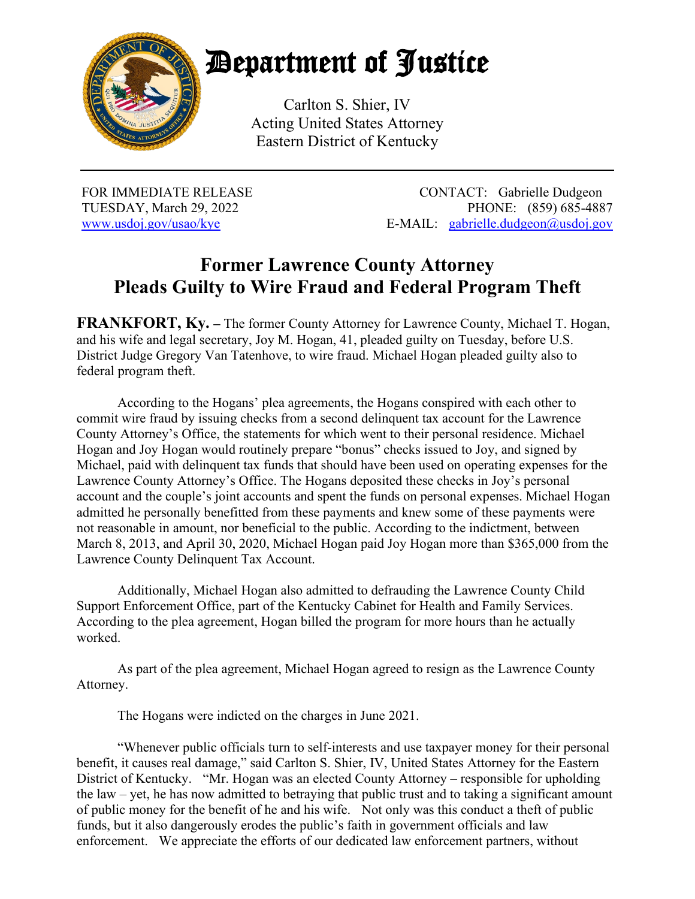

## Department of Justice

Carlton S. Shier, IV Acting United States Attorney Eastern District of Kentucky

FOR IMMEDIATE RELEASE CONTACT: Gabrielle Dudgeon TUESDAY, March 29, 2022 PHONE: (859) 685-4887 www.usdoj.gov/usao/kye E-MAIL: gabrielle.dudgeon@usdoj.gov

## **Former Lawrence County Attorney Pleads Guilty to Wire Fraud and Federal Program Theft**

**FRANKFORT, Ky. –** The former County Attorney for Lawrence County, Michael T. Hogan, and his wife and legal secretary, Joy M. Hogan, 41, pleaded guilty on Tuesday, before U.S. District Judge Gregory Van Tatenhove, to wire fraud. Michael Hogan pleaded guilty also to federal program theft.

According to the Hogans' plea agreements, the Hogans conspired with each other to commit wire fraud by issuing checks from a second delinquent tax account for the Lawrence County Attorney's Office, the statements for which went to their personal residence. Michael Hogan and Joy Hogan would routinely prepare "bonus" checks issued to Joy, and signed by Michael, paid with delinquent tax funds that should have been used on operating expenses for the Lawrence County Attorney's Office. The Hogans deposited these checks in Joy's personal account and the couple's joint accounts and spent the funds on personal expenses. Michael Hogan admitted he personally benefitted from these payments and knew some of these payments were not reasonable in amount, nor beneficial to the public. According to the indictment, between March 8, 2013, and April 30, 2020, Michael Hogan paid Joy Hogan more than \$365,000 from the Lawrence County Delinquent Tax Account.

Additionally, Michael Hogan also admitted to defrauding the Lawrence County Child Support Enforcement Office, part of the Kentucky Cabinet for Health and Family Services. According to the plea agreement, Hogan billed the program for more hours than he actually worked.

As part of the plea agreement, Michael Hogan agreed to resign as the Lawrence County Attorney.

The Hogans were indicted on the charges in June 2021.

"Whenever public officials turn to self-interests and use taxpayer money for their personal benefit, it causes real damage," said Carlton S. Shier, IV, United States Attorney for the Eastern District of Kentucky. "Mr. Hogan was an elected County Attorney – responsible for upholding the law – yet, he has now admitted to betraying that public trust and to taking a significant amount of public money for the benefit of he and his wife. Not only was this conduct a theft of public funds, but it also dangerously erodes the public's faith in government officials and law enforcement. We appreciate the efforts of our dedicated law enforcement partners, without